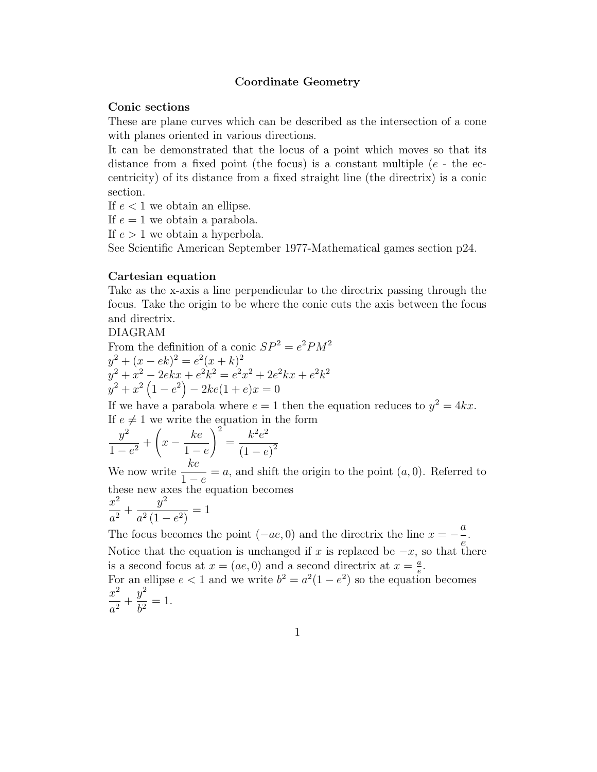# Coordinate Geometry

# Conic sections

These are plane curves which can be described as the intersection of a cone with planes oriented in various directions.

It can be demonstrated that the locus of a point which moves so that its distance from a fixed point (the focus) is a constant multiple  $(e - the$ centricity) of its distance from a fixed straight line (the directrix) is a conic section.

If  $e < 1$  we obtain an ellipse.

If  $e = 1$  we obtain a parabola.

If  $e > 1$  we obtain a hyperbola.

See Scientific American September 1977-Mathematical games section p24.

# Cartesian equation

Take as the x-axis a line perpendicular to the directrix passing through the focus. Take the origin to be where the conic cuts the axis between the focus and directrix.

DIAGRAM

From the definition of a conic  $SP^2 = e^2 P M^2$  $y^2 + (x - e^2) = e^2(x + k)^2$  $y^2 + x^2 - 2ekx + e^2k^2 = e^2x^2 + 2e^2kx + e^2k^2$  $y^2 + x^2(1-e^2) - 2ke(1+e)x = 0$ 

If we have a parabola where  $e = 1$  then the equation reduces to  $y^2 = 4kx$ . If  $e \neq 1$  we write the equation in the form

$$
\frac{y^2}{1 - e^2} + \left(x - \frac{ke}{1 - e}\right)^2 = \frac{k^2 e^2}{(1 - e)^2}
$$

We now write  $1 - e$  $=a$ , and shift the origin to the point  $(a, 0)$ . Referred to these new axes the equation becomes

$$
\frac{x^2}{a^2} + \frac{y^2}{a^2(1 - e^2)} = 1
$$

The focus becomes the point  $(-ae, 0)$  and the directrix the line  $x =$ a  $\frac{a}{e}$ . Notice that the equation is unchanged if x is replaced be  $-x$ , so that there is a second focus at  $x = (ae, 0)$  and a second directrix at  $x = \frac{a}{e}$  $\frac{a}{e}$ . For an ellipse  $e < 1$  and we write  $b^2 = a^2(1 - e^2)$  so the equation becomes  $x^2$  $\frac{a^2}{a^2}$  +  $y^2$  $\frac{b^2}{b^2} = 1.$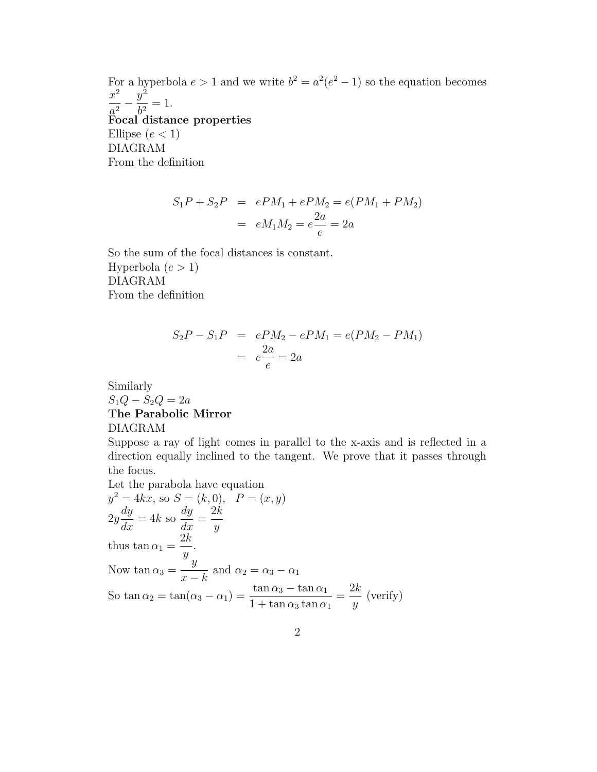For a hyperbola  $e > 1$  and we write  $b^2 = a^2(e^2 - 1)$  so the equation becomes  $x^2$  $\frac{a^2}{a^2}$  –  $y^2$  $\frac{b^2}{b^2} = 1.$ Focal distance properties Ellipse  $(e < 1)$ DIAGRAM From the definition

$$
S_1P + S_2P = ePM_1 + ePM_2 = e(PM_1 + PM_2)
$$
  
=  $eM_1M_2 = e\frac{2a}{e} = 2a$ 

So the sum of the focal distances is constant. Hyperbola  $(e > 1)$ DIAGRAM From the definition

$$
S_2P - S_1P = ePM_2 - ePM_1 = e(PM_2 - PM_1)
$$
  
=  $e\frac{2a}{e} = 2a$ 

# Similarly  $S_1Q - S_2Q = 2a$ The Parabolic Mirror DIAGRAM

Suppose a ray of light comes in parallel to the x-axis and is reflected in a direction equally inclined to the tangent. We prove that it passes through the focus.

Let the parabola have equation  
\n
$$
y^2 = 4kx
$$
, so  $S = (k, 0)$ ,  $P = (x, y)$   
\n $2y \frac{dy}{dx} = 4k$  so  $\frac{dy}{dx} = \frac{2k}{y}$   
\nthus  $\tan \alpha_1 = \frac{2k}{y}$ .  
\nNow  $\tan \alpha_3 = \frac{y}{x - k}$  and  $\alpha_2 = \alpha_3 - \alpha_1$   
\nSo  $\tan \alpha_2 = \tan(\alpha_3 - \alpha_1) = \frac{\tan \alpha_3 - \tan \alpha_1}{1 + \tan \alpha_3 \tan \alpha_1} = \frac{2k}{y}$  (verify)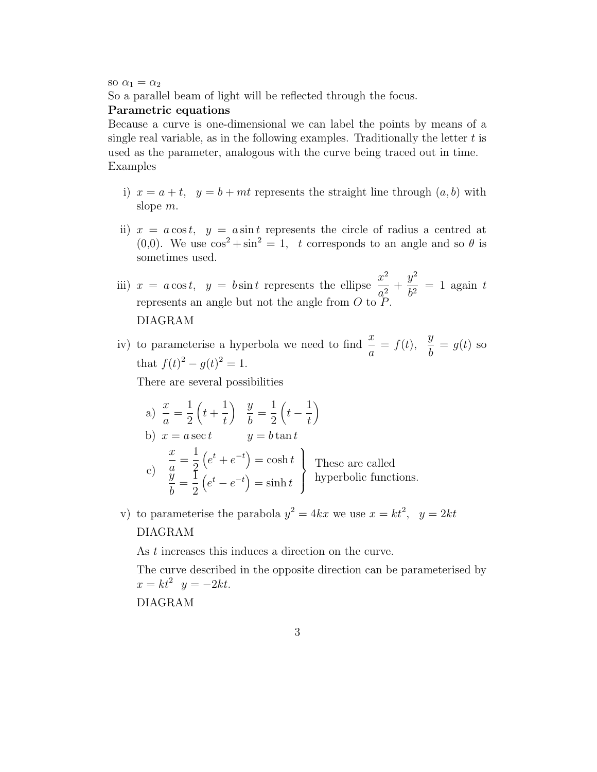so  $\alpha_1 = \alpha_2$ 

So a parallel beam of light will be reflected through the focus.

#### Parametric equations

Because a curve is one-dimensional we can label the points by means of a single real variable, as in the following examples. Traditionally the letter  $t$  is used as the parameter, analogous with the curve being traced out in time. Examples

- i)  $x = a + t$ ,  $y = b + mt$  represents the straight line through  $(a, b)$  with slope m.
- ii)  $x = a \cos t$ ,  $y = a \sin t$  represents the circle of radius a centred at (0,0). We use  $\cos^2 + \sin^2 = 1$ , t corresponds to an angle and so  $\theta$  is sometimes used.

iii)  $x = a \cos t$ ,  $y = b \sin t$  represents the ellipse  $\frac{x^2}{2}$  $\frac{a^2}{a^2}$  +  $y^2$  $\frac{b^2}{b^2} = 1$  again t represents an angle but not the angle from  $O$  to  $P$ . DIAGRAM

iv) to parameterise a hyperbola we need to find  $\frac{x}{a} = f(t)$ ,  $\hat{y}$  $\frac{b}{b} = g(t)$  so that  $f(t)^2 - g(t)^2 = 1$ .

There are several possibilities

a) 
$$
\frac{x}{a} = \frac{1}{2} \left( t + \frac{1}{t} \right)
$$
  $\frac{y}{b} = \frac{1}{2} \left( t - \frac{1}{t} \right)$   
\nb)  $x = a \sec t$   $y = b \tan t$   
\nc)  $\frac{x}{a} = \frac{1}{2} \left( e^t + e^{-t} \right) = \cosh t$  These are called hyperbolic functions.  
\n $\frac{y}{b} = \frac{1}{2} \left( e^t - e^{-t} \right) = \sinh t$  hyperbolic functions.

v) to parameterise the parabola  $y^2 = 4kx$  we use  $x = kt^2$ ,  $y = 2kt$ DIAGRAM

As t increases this induces a direction on the curve.

The curve described in the opposite direction can be parameterised by  $x = kt^2$   $y = -2kt$ .

DIAGRAM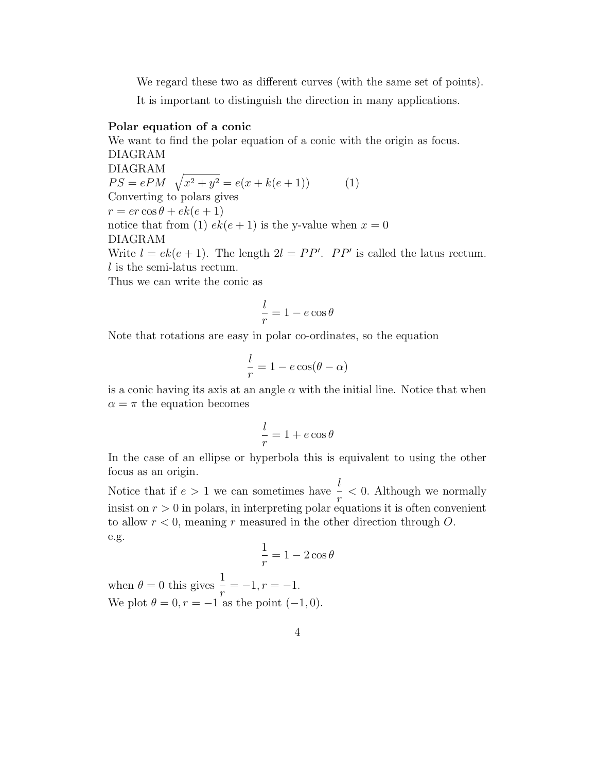We regard these two as different curves (with the same set of points).

It is important to distinguish the direction in many applications.

# Polar equation of a conic

We want to find the polar equation of a conic with the origin as focus. DIAGRAM DIAGRAM  $PS = ePM \sqrt{x^2 + y^2} = e(x + k(e + 1))$  (1) Converting to polars gives  $r = er \cos \theta + ek(e+1)$ notice that from (1)  $ek(e + 1)$  is the y-value when  $x = 0$ DIAGRAM Write  $l = ek(e + 1)$ . The length  $2l = PP'$ .  $PP'$  is called the latus rectum.  $l$  is the semi-latus rectum.

Thus we can write the conic as

$$
\frac{l}{r} = 1 - e \cos \theta
$$

Note that rotations are easy in polar co-ordinates, so the equation

$$
\frac{l}{r} = 1 - e \cos(\theta - \alpha)
$$

is a conic having its axis at an angle  $\alpha$  with the initial line. Notice that when  $\alpha = \pi$  the equation becomes

$$
\frac{l}{r} = 1 + e \cos \theta
$$

In the case of an ellipse or hyperbola this is equivalent to using the other focus as an origin.

Notice that if  $e > 1$  we can sometimes have l  $\frac{1}{r}$  < 0. Although we normally insist on  $r > 0$  in polars, in interpreting polar equations it is often convenient to allow  $r < 0$ , meaning r measured in the other direction through O. e.g.

$$
\frac{1}{r} = 1 - 2\cos\theta
$$

when  $\theta = 0$  this gives  $\frac{1}{1}$  $\frac{1}{r} = -1, r = -1.$ We plot  $\theta = 0, r = -1$  as the point  $(-1, 0)$ .